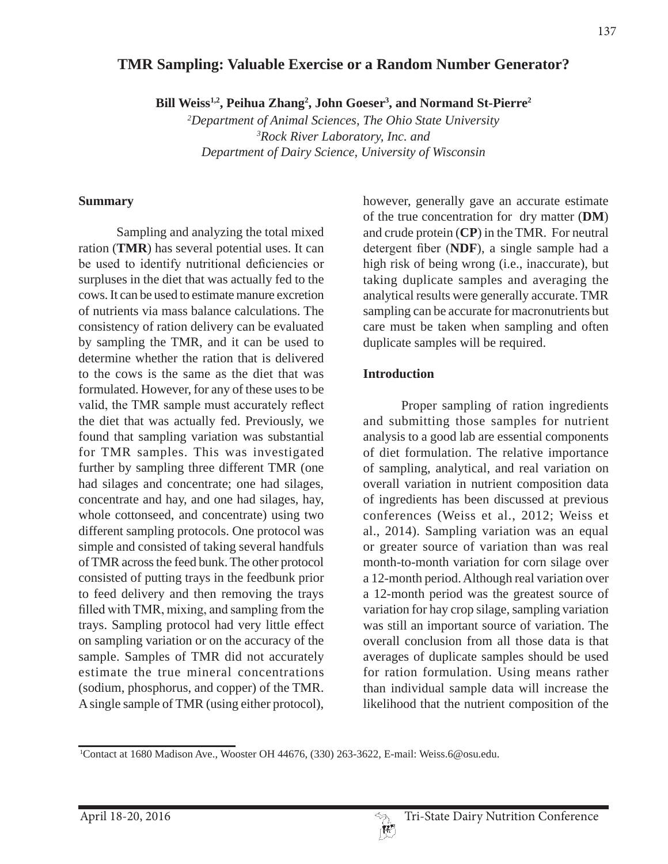# **TMR Sampling: Valuable Exercise or a Random Number Generator?**

Bill Weiss<sup>1,2</sup>, Peihua Zhang<sup>2</sup>, John Goeser<sup>3</sup>, and Normand St-Pierre<sup>2</sup>

*2 Department of Animal Sciences, The Ohio State University 3 Rock River Laboratory, Inc. and Department of Dairy Science, University of Wisconsin*

#### **Summary**

 Sampling and analyzing the total mixed ration (**TMR**) has several potential uses. It can be used to identify nutritional deficiencies or surpluses in the diet that was actually fed to the cows. It can be used to estimate manure excretion of nutrients via mass balance calculations. The consistency of ration delivery can be evaluated by sampling the TMR, and it can be used to determine whether the ration that is delivered to the cows is the same as the diet that was formulated. However, for any of these uses to be valid, the TMR sample must accurately reflect the diet that was actually fed. Previously, we found that sampling variation was substantial for TMR samples. This was investigated further by sampling three different TMR (one had silages and concentrate; one had silages, concentrate and hay, and one had silages, hay, whole cottonseed, and concentrate) using two different sampling protocols. One protocol was simple and consisted of taking several handfuls of TMR across the feed bunk. The other protocol consisted of putting trays in the feedbunk prior to feed delivery and then removing the trays filled with TMR, mixing, and sampling from the trays. Sampling protocol had very little effect on sampling variation or on the accuracy of the sample. Samples of TMR did not accurately estimate the true mineral concentrations (sodium, phosphorus, and copper) of the TMR. A single sample of TMR (using either protocol),

however, generally gave an accurate estimate of the true concentration for dry matter (**DM**) and crude protein (**CP**) in the TMR. For neutral detergent fiber (NDF), a single sample had a high risk of being wrong (i.e., inaccurate), but taking duplicate samples and averaging the analytical results were generally accurate. TMR sampling can be accurate for macronutrients but care must be taken when sampling and often duplicate samples will be required.

#### **Introduction**

 Proper sampling of ration ingredients and submitting those samples for nutrient analysis to a good lab are essential components of diet formulation. The relative importance of sampling, analytical, and real variation on overall variation in nutrient composition data of ingredients has been discussed at previous conferences (Weiss et al., 2012; Weiss et al., 2014). Sampling variation was an equal or greater source of variation than was real month-to-month variation for corn silage over a 12-month period. Although real variation over a 12-month period was the greatest source of variation for hay crop silage, sampling variation was still an important source of variation. The overall conclusion from all those data is that averages of duplicate samples should be used for ration formulation. Using means rather than individual sample data will increase the likelihood that the nutrient composition of the

<sup>1</sup> Contact at 1680 Madison Ave., Wooster OH 44676, (330) 263-3622, E-mail: Weiss.6@osu.edu.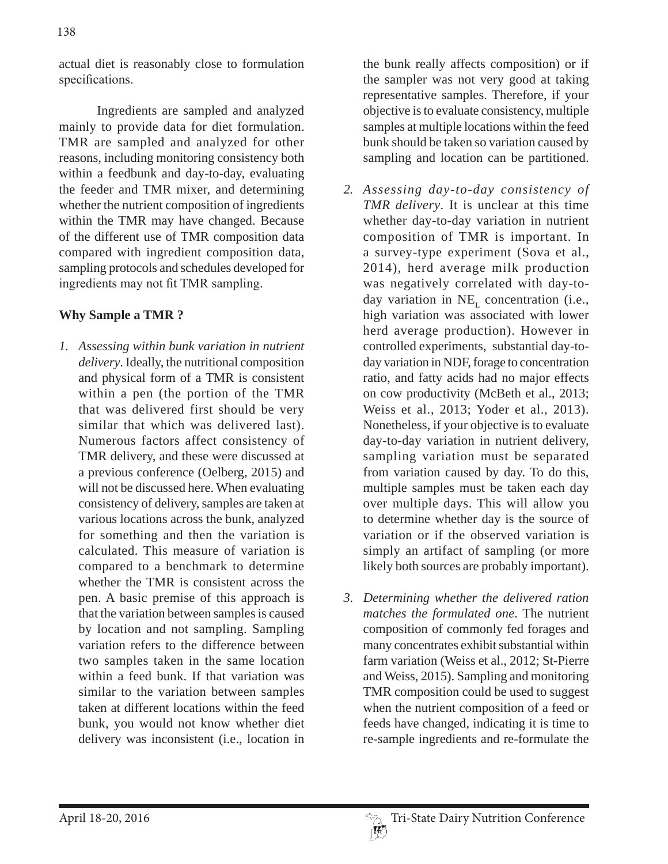actual diet is reasonably close to formulation specifications.

 Ingredients are sampled and analyzed mainly to provide data for diet formulation. TMR are sampled and analyzed for other reasons, including monitoring consistency both within a feedbunk and day-to-day, evaluating the feeder and TMR mixer, and determining whether the nutrient composition of ingredients within the TMR may have changed. Because of the different use of TMR composition data compared with ingredient composition data, sampling protocols and schedules developed for ingredients may not fit TMR sampling.

# **Why Sample a TMR ?**

*1. Assessing within bunk variation in nutrient delivery*. Ideally, the nutritional composition and physical form of a TMR is consistent within a pen (the portion of the TMR that was delivered first should be very similar that which was delivered last). Numerous factors affect consistency of TMR delivery, and these were discussed at a previous conference (Oelberg, 2015) and will not be discussed here. When evaluating consistency of delivery, samples are taken at various locations across the bunk, analyzed for something and then the variation is calculated. This measure of variation is compared to a benchmark to determine whether the TMR is consistent across the pen. A basic premise of this approach is that the variation between samples is caused by location and not sampling. Sampling variation refers to the difference between two samples taken in the same location within a feed bunk. If that variation was similar to the variation between samples taken at different locations within the feed bunk, you would not know whether diet delivery was inconsistent (i.e., location in

the bunk really affects composition) or if the sampler was not very good at taking representative samples. Therefore, if your objective is to evaluate consistency, multiple samples at multiple locations within the feed bunk should be taken so variation caused by sampling and location can be partitioned.

- *2. Assessing day-to-day consistency of TMR delivery*. It is unclear at this time whether day-to-day variation in nutrient composition of TMR is important. In a survey-type experiment (Sova et al., 2014), herd average milk production was negatively correlated with day-today variation in  $NE$ , concentration (i.e., high variation was associated with lower herd average production). However in controlled experiments, substantial day-today variation in NDF, forage to concentration ratio, and fatty acids had no major effects on cow productivity (McBeth et al., 2013; Weiss et al., 2013; Yoder et al., 2013). Nonetheless, if your objective is to evaluate day-to-day variation in nutrient delivery, sampling variation must be separated from variation caused by day. To do this, multiple samples must be taken each day over multiple days. This will allow you to determine whether day is the source of variation or if the observed variation is simply an artifact of sampling (or more likely both sources are probably important).
- *3. Determining whether the delivered ration matches the formulated one*. The nutrient composition of commonly fed forages and many concentrates exhibit substantial within farm variation (Weiss et al., 2012; St-Pierre and Weiss, 2015). Sampling and monitoring TMR composition could be used to suggest when the nutrient composition of a feed or feeds have changed, indicating it is time to re-sample ingredients and re-formulate the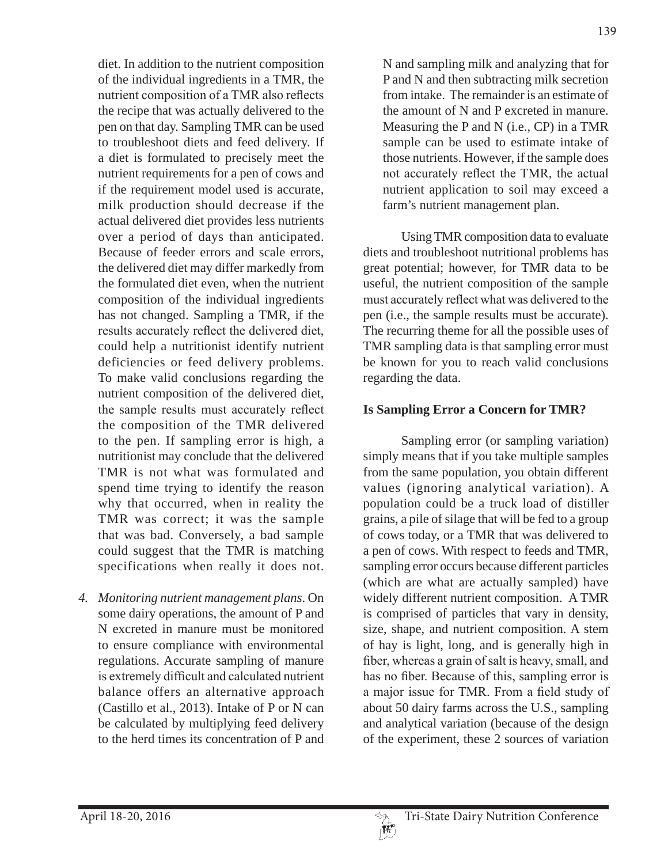diet. In addition to the nutrient composition of the individual ingredients in a TMR, the nutrient composition of a TMR also reflects the recipe that was actually delivered to the pen on that day. Sampling TMR can be used to troubleshoot diets and feed delivery. If a diet is formulated to precisely meet the nutrient requirements for a pen of cows and if the requirement model used is accurate, milk production should decrease if the actual delivered diet provides less nutrients over a period of days than anticipated. Because of feeder errors and scale errors, the delivered diet may differ markedly from the formulated diet even, when the nutrient composition of the individual ingredients has not changed. Sampling a TMR, if the results accurately reflect the delivered diet. could help a nutritionist identify nutrient deficiencies or feed delivery problems. To make valid conclusions regarding the nutrient composition of the delivered diet, the sample results must accurately reflect the composition of the TMR delivered to the pen. If sampling error is high, a nutritionist may conclude that the delivered TMR is not what was formulated and spend time trying to identify the reason why that occurred, when in reality the TMR was correct; it was the sample that was bad. Conversely, a bad sample could suggest that the TMR is matching specifications when really it does not.

*4. Monitoring nutrient management plans*. On some dairy operations, the amount of P and N excreted in manure must be monitored to ensure compliance with environmental regulations. Accurate sampling of manure is extremely difficult and calculated nutrient balance offers an alternative approach (Castillo et al., 2013). Intake of P or N can be calculated by multiplying feed delivery to the herd times its concentration of P and

N and sampling milk and analyzing that for P and N and then subtracting milk secretion from intake. The remainder is an estimate of the amount of N and P excreted in manure. Measuring the P and N (i.e., CP) in a TMR sample can be used to estimate intake of those nutrients. However, if the sample does not accurately reflect the TMR, the actual nutrient application to soil may exceed a farm's nutrient management plan.

 Using TMR composition data to evaluate diets and troubleshoot nutritional problems has great potential; however, for TMR data to be useful, the nutrient composition of the sample must accurately reflect what was delivered to the pen (i.e., the sample results must be accurate). The recurring theme for all the possible uses of TMR sampling data is that sampling error must be known for you to reach valid conclusions regarding the data.

# **Is Sampling Error a Concern for TMR?**

 Sampling error (or sampling variation) simply means that if you take multiple samples from the same population, you obtain different values (ignoring analytical variation). A population could be a truck load of distiller grains, a pile of silage that will be fed to a group of cows today, or a TMR that was delivered to a pen of cows. With respect to feeds and TMR, sampling error occurs because different particles (which are what are actually sampled) have widely different nutrient composition. A TMR is comprised of particles that vary in density, size, shape, and nutrient composition. A stem of hay is light, long, and is generally high in fiber, whereas a grain of salt is heavy, small, and has no fiber. Because of this, sampling error is a major issue for TMR. From a field study of about 50 dairy farms across the U.S., sampling and analytical variation (because of the design of the experiment, these 2 sources of variation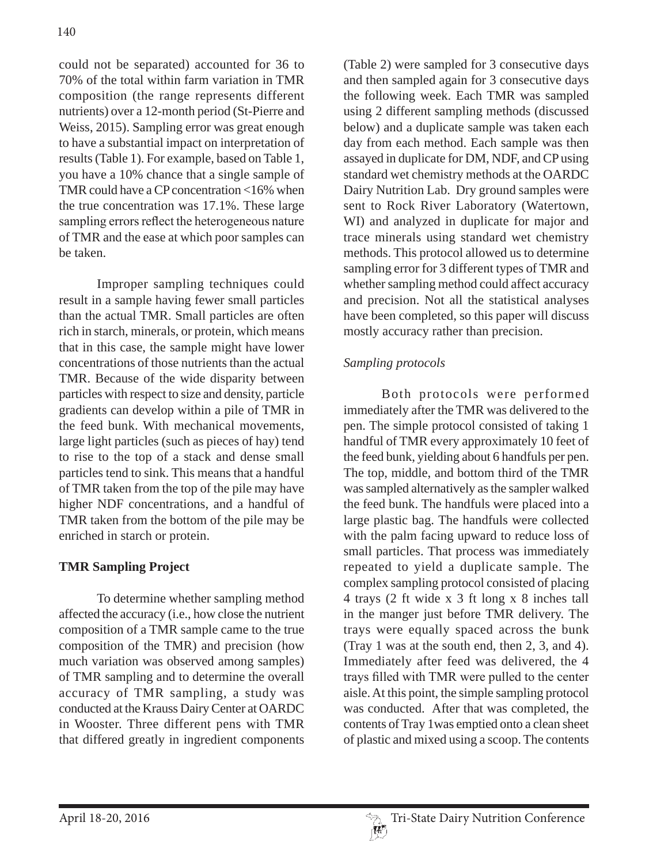could not be separated) accounted for 36 to 70% of the total within farm variation in TMR composition (the range represents different nutrients) over a 12-month period (St-Pierre and Weiss, 2015). Sampling error was great enough to have a substantial impact on interpretation of results (Table 1). For example, based on Table 1, you have a 10% chance that a single sample of TMR could have a CP concentration <16% when the true concentration was 17.1%. These large sampling errors reflect the heterogeneous nature of TMR and the ease at which poor samples can be taken.

 Improper sampling techniques could result in a sample having fewer small particles than the actual TMR. Small particles are often rich in starch, minerals, or protein, which means that in this case, the sample might have lower concentrations of those nutrients than the actual TMR. Because of the wide disparity between particles with respect to size and density, particle gradients can develop within a pile of TMR in the feed bunk. With mechanical movements, large light particles (such as pieces of hay) tend to rise to the top of a stack and dense small particles tend to sink. This means that a handful of TMR taken from the top of the pile may have higher NDF concentrations, and a handful of TMR taken from the bottom of the pile may be enriched in starch or protein.

# **TMR Sampling Project**

 To determine whether sampling method affected the accuracy (i.e., how close the nutrient composition of a TMR sample came to the true composition of the TMR) and precision (how much variation was observed among samples) of TMR sampling and to determine the overall accuracy of TMR sampling, a study was conducted at the Krauss Dairy Center at OARDC in Wooster. Three different pens with TMR that differed greatly in ingredient components (Table 2) were sampled for 3 consecutive days and then sampled again for 3 consecutive days the following week. Each TMR was sampled using 2 different sampling methods (discussed below) and a duplicate sample was taken each day from each method. Each sample was then assayed in duplicate for DM, NDF, and CP using standard wet chemistry methods at the OARDC Dairy Nutrition Lab. Dry ground samples were sent to Rock River Laboratory (Watertown, WI) and analyzed in duplicate for major and trace minerals using standard wet chemistry methods. This protocol allowed us to determine sampling error for 3 different types of TMR and whether sampling method could affect accuracy and precision. Not all the statistical analyses have been completed, so this paper will discuss mostly accuracy rather than precision.

# *Sampling protocols*

 Both protocols were performed immediately after the TMR was delivered to the pen. The simple protocol consisted of taking 1 handful of TMR every approximately 10 feet of the feed bunk, yielding about 6 handfuls per pen. The top, middle, and bottom third of the TMR was sampled alternatively as the sampler walked the feed bunk. The handfuls were placed into a large plastic bag. The handfuls were collected with the palm facing upward to reduce loss of small particles. That process was immediately repeated to yield a duplicate sample. The complex sampling protocol consisted of placing 4 trays (2 ft wide x 3 ft long x 8 inches tall in the manger just before TMR delivery. The trays were equally spaced across the bunk (Tray 1 was at the south end, then 2, 3, and 4). Immediately after feed was delivered, the 4 trays filled with TMR were pulled to the center aisle. At this point, the simple sampling protocol was conducted. After that was completed, the contents of Tray 1was emptied onto a clean sheet of plastic and mixed using a scoop. The contents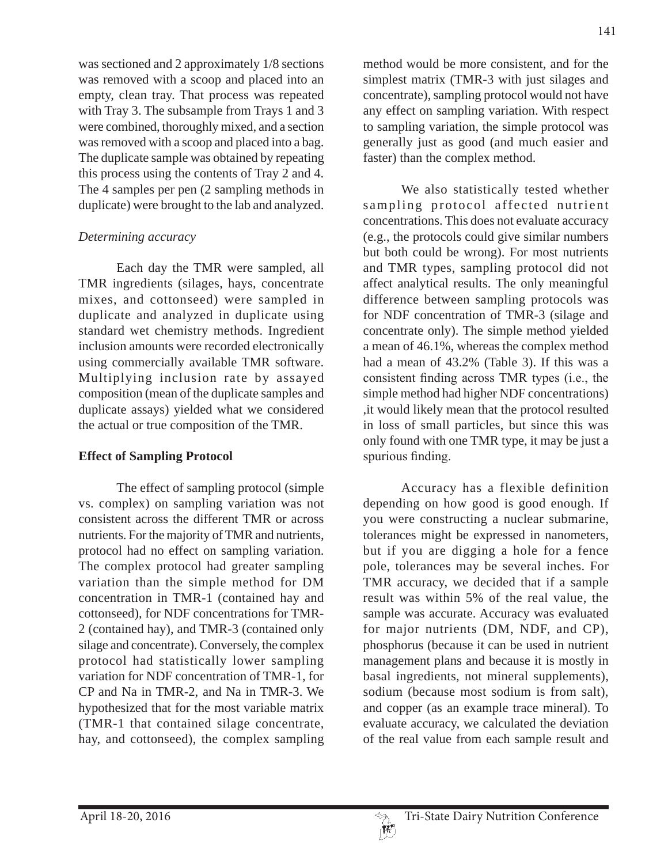was sectioned and 2 approximately 1/8 sections was removed with a scoop and placed into an empty, clean tray. That process was repeated with Tray 3. The subsample from Trays 1 and 3 were combined, thoroughly mixed, and a section was removed with a scoop and placed into a bag. The duplicate sample was obtained by repeating this process using the contents of Tray 2 and 4. The 4 samples per pen (2 sampling methods in duplicate) were brought to the lab and analyzed.

### *Determining accuracy*

 Each day the TMR were sampled, all TMR ingredients (silages, hays, concentrate mixes, and cottonseed) were sampled in duplicate and analyzed in duplicate using standard wet chemistry methods. Ingredient inclusion amounts were recorded electronically using commercially available TMR software. Multiplying inclusion rate by assayed composition (mean of the duplicate samples and duplicate assays) yielded what we considered the actual or true composition of the TMR.

### **Effect of Sampling Protocol**

 The effect of sampling protocol (simple vs. complex) on sampling variation was not consistent across the different TMR or across nutrients. For the majority of TMR and nutrients, protocol had no effect on sampling variation. The complex protocol had greater sampling variation than the simple method for DM concentration in TMR-1 (contained hay and cottonseed), for NDF concentrations for TMR-2 (contained hay), and TMR-3 (contained only silage and concentrate). Conversely, the complex protocol had statistically lower sampling variation for NDF concentration of TMR-1, for CP and Na in TMR-2, and Na in TMR-3. We hypothesized that for the most variable matrix (TMR-1 that contained silage concentrate, hay, and cottonseed), the complex sampling

method would be more consistent, and for the simplest matrix (TMR-3 with just silages and concentrate), sampling protocol would not have any effect on sampling variation. With respect to sampling variation, the simple protocol was generally just as good (and much easier and faster) than the complex method.

 We also statistically tested whether sampling protocol affected nutrient concentrations. This does not evaluate accuracy (e.g., the protocols could give similar numbers but both could be wrong). For most nutrients and TMR types, sampling protocol did not affect analytical results. The only meaningful difference between sampling protocols was for NDF concentration of TMR-3 (silage and concentrate only). The simple method yielded a mean of 46.1%, whereas the complex method had a mean of 43.2% (Table 3). If this was a consistent finding across TMR types (i.e., the simple method had higher NDF concentrations) ,it would likely mean that the protocol resulted in loss of small particles, but since this was only found with one TMR type, it may be just a spurious finding.

 Accuracy has a flexible definition depending on how good is good enough. If you were constructing a nuclear submarine, tolerances might be expressed in nanometers, but if you are digging a hole for a fence pole, tolerances may be several inches. For TMR accuracy, we decided that if a sample result was within 5% of the real value, the sample was accurate. Accuracy was evaluated for major nutrients (DM, NDF, and CP), phosphorus (because it can be used in nutrient management plans and because it is mostly in basal ingredients, not mineral supplements), sodium (because most sodium is from salt), and copper (as an example trace mineral). To evaluate accuracy, we calculated the deviation of the real value from each sample result and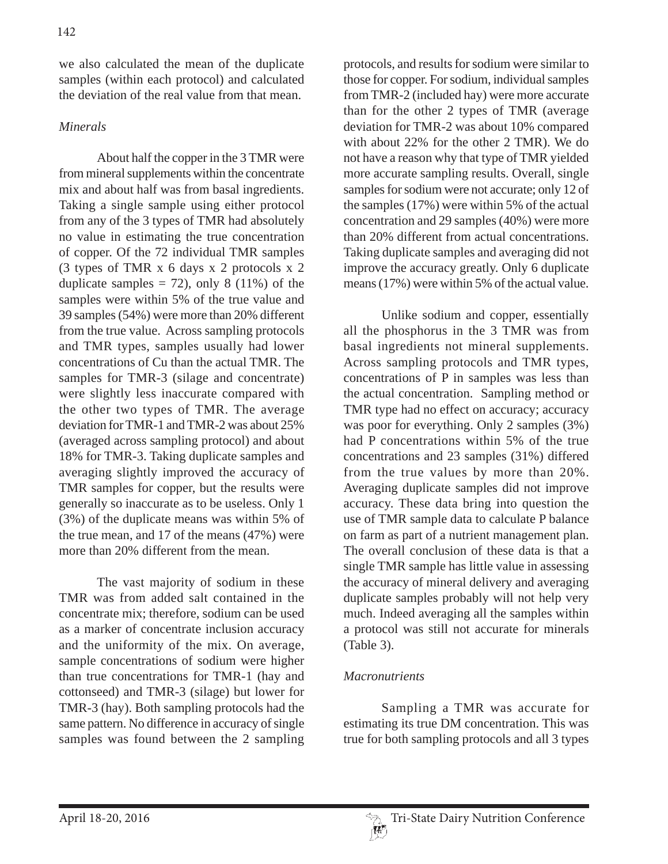we also calculated the mean of the duplicate samples (within each protocol) and calculated the deviation of the real value from that mean.

# *Minerals*

 About half the copper in the 3 TMR were from mineral supplements within the concentrate mix and about half was from basal ingredients. Taking a single sample using either protocol from any of the 3 types of TMR had absolutely no value in estimating the true concentration of copper. Of the 72 individual TMR samples (3 types of TMR x 6 days x 2 protocols x 2 duplicate samples  $= 72$ ), only 8 (11%) of the samples were within 5% of the true value and 39 samples (54%) were more than 20% different from the true value. Across sampling protocols and TMR types, samples usually had lower concentrations of Cu than the actual TMR. The samples for TMR-3 (silage and concentrate) were slightly less inaccurate compared with the other two types of TMR. The average deviation for TMR-1 and TMR-2 was about 25% (averaged across sampling protocol) and about 18% for TMR-3. Taking duplicate samples and averaging slightly improved the accuracy of TMR samples for copper, but the results were generally so inaccurate as to be useless. Only 1 (3%) of the duplicate means was within 5% of the true mean, and 17 of the means (47%) were more than 20% different from the mean.

 The vast majority of sodium in these TMR was from added salt contained in the concentrate mix; therefore, sodium can be used as a marker of concentrate inclusion accuracy and the uniformity of the mix. On average, sample concentrations of sodium were higher than true concentrations for TMR-1 (hay and cottonseed) and TMR-3 (silage) but lower for TMR-3 (hay). Both sampling protocols had the same pattern. No difference in accuracy of single samples was found between the 2 sampling

protocols, and results for sodium were similar to those for copper. For sodium, individual samples from TMR-2 (included hay) were more accurate than for the other 2 types of TMR (average deviation for TMR-2 was about 10% compared with about 22% for the other 2 TMR). We do not have a reason why that type of TMR yielded more accurate sampling results. Overall, single samples for sodium were not accurate; only 12 of the samples (17%) were within 5% of the actual concentration and 29 samples (40%) were more than 20% different from actual concentrations. Taking duplicate samples and averaging did not improve the accuracy greatly. Only 6 duplicate means (17%) were within 5% of the actual value.

 Unlike sodium and copper, essentially all the phosphorus in the 3 TMR was from basal ingredients not mineral supplements. Across sampling protocols and TMR types, concentrations of P in samples was less than the actual concentration. Sampling method or TMR type had no effect on accuracy; accuracy was poor for everything. Only 2 samples (3%) had P concentrations within 5% of the true concentrations and 23 samples (31%) differed from the true values by more than 20%. Averaging duplicate samples did not improve accuracy. These data bring into question the use of TMR sample data to calculate P balance on farm as part of a nutrient management plan. The overall conclusion of these data is that a single TMR sample has little value in assessing the accuracy of mineral delivery and averaging duplicate samples probably will not help very much. Indeed averaging all the samples within a protocol was still not accurate for minerals (Table 3).

# *Macronutrients*

 Sampling a TMR was accurate for estimating its true DM concentration. This was true for both sampling protocols and all 3 types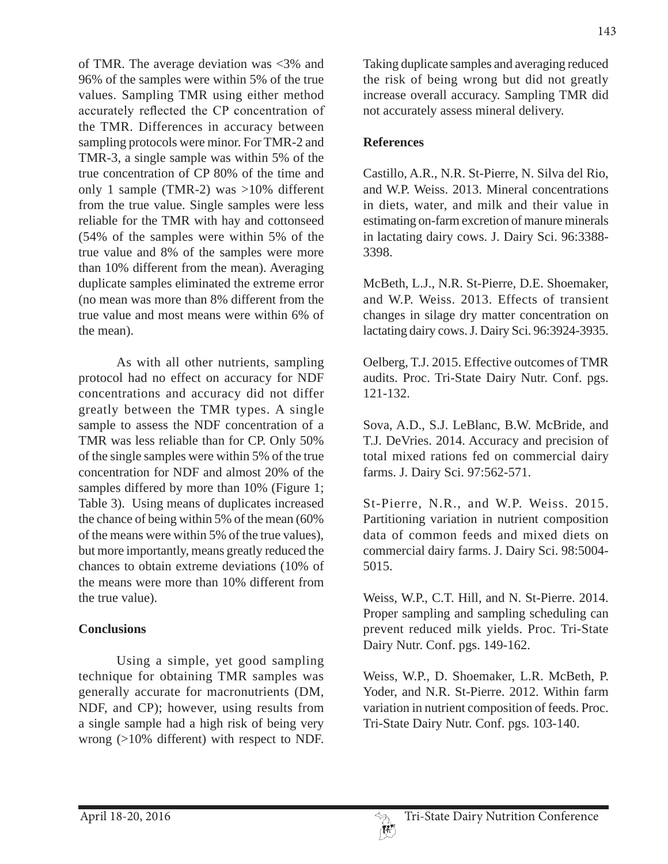of TMR. The average deviation was <3% and 96% of the samples were within 5% of the true values. Sampling TMR using either method accurately reflected the CP concentration of the TMR. Differences in accuracy between sampling protocols were minor. For TMR-2 and TMR-3, a single sample was within 5% of the true concentration of CP 80% of the time and only 1 sample (TMR-2) was >10% different from the true value. Single samples were less reliable for the TMR with hay and cottonseed (54% of the samples were within 5% of the true value and 8% of the samples were more than 10% different from the mean). Averaging duplicate samples eliminated the extreme error (no mean was more than 8% different from the true value and most means were within 6% of the mean).

 As with all other nutrients, sampling protocol had no effect on accuracy for NDF concentrations and accuracy did not differ greatly between the TMR types. A single sample to assess the NDF concentration of a TMR was less reliable than for CP. Only 50% of the single samples were within 5% of the true concentration for NDF and almost 20% of the samples differed by more than 10% (Figure 1; Table 3). Using means of duplicates increased the chance of being within 5% of the mean (60% of the means were within 5% of the true values), but more importantly, means greatly reduced the chances to obtain extreme deviations (10% of the means were more than 10% different from the true value).

# **Conclusions**

 Using a simple, yet good sampling technique for obtaining TMR samples was generally accurate for macronutrients (DM, NDF, and CP); however, using results from a single sample had a high risk of being very wrong (>10% different) with respect to NDF.

Taking duplicate samples and averaging reduced the risk of being wrong but did not greatly increase overall accuracy. Sampling TMR did not accurately assess mineral delivery.

# **References**

Castillo, A.R., N.R. St-Pierre, N. Silva del Rio, and W.P. Weiss. 2013. Mineral concentrations in diets, water, and milk and their value in estimating on-farm excretion of manure minerals in lactating dairy cows. J. Dairy Sci. 96:3388- 3398.

McBeth, L.J., N.R. St-Pierre, D.E. Shoemaker, and W.P. Weiss. 2013. Effects of transient changes in silage dry matter concentration on lactating dairy cows. J. Dairy Sci. 96:3924-3935.

Oelberg, T.J. 2015. Effective outcomes of TMR audits. Proc. Tri-State Dairy Nutr. Conf. pgs. 121-132.

Sova, A.D., S.J. LeBlanc, B.W. McBride, and T.J. DeVries. 2014. Accuracy and precision of total mixed rations fed on commercial dairy farms. J. Dairy Sci. 97:562-571.

St-Pierre, N.R., and W.P. Weiss. 2015. Partitioning variation in nutrient composition data of common feeds and mixed diets on commercial dairy farms. J. Dairy Sci. 98:5004- 5015.

Weiss, W.P., C.T. Hill, and N. St-Pierre. 2014. Proper sampling and sampling scheduling can prevent reduced milk yields. Proc. Tri-State Dairy Nutr. Conf. pgs. 149-162.

Weiss, W.P., D. Shoemaker, L.R. McBeth, P. Yoder, and N.R. St-Pierre. 2012. Within farm variation in nutrient composition of feeds. Proc. Tri-State Dairy Nutr. Conf. pgs. 103-140.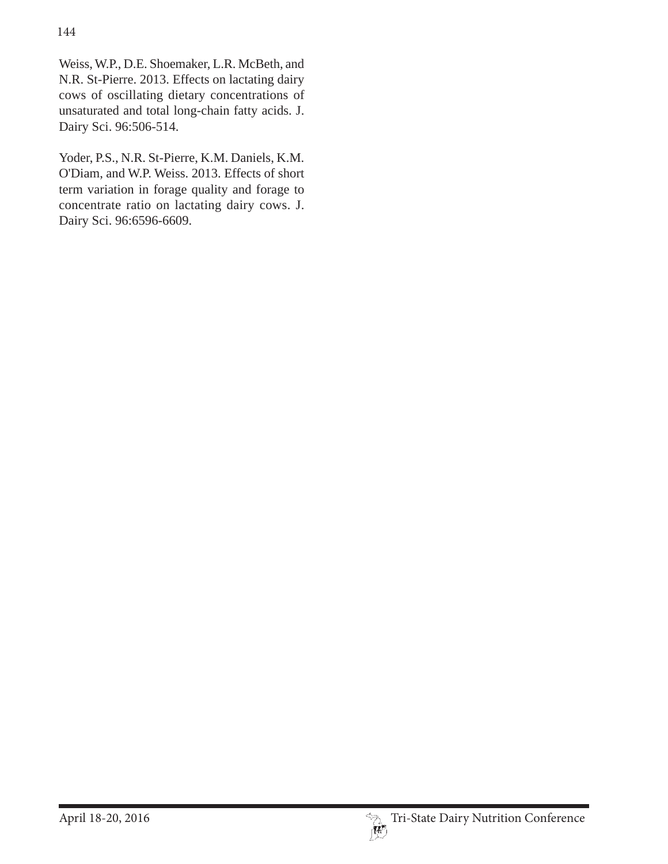Weiss, W.P., D.E. Shoemaker, L.R. McBeth, and N.R. St-Pierre. 2013. Effects on lactating dairy cows of oscillating dietary concentrations of unsaturated and total long-chain fatty acids. J. Dairy Sci. 96:506-514.

Yoder, P.S., N.R. St-Pierre, K.M. Daniels, K.M. O'Diam, and W.P. Weiss. 2013. Effects of short term variation in forage quality and forage to concentrate ratio on lactating dairy cows. J. Dairy Sci. 96:6596-6609.

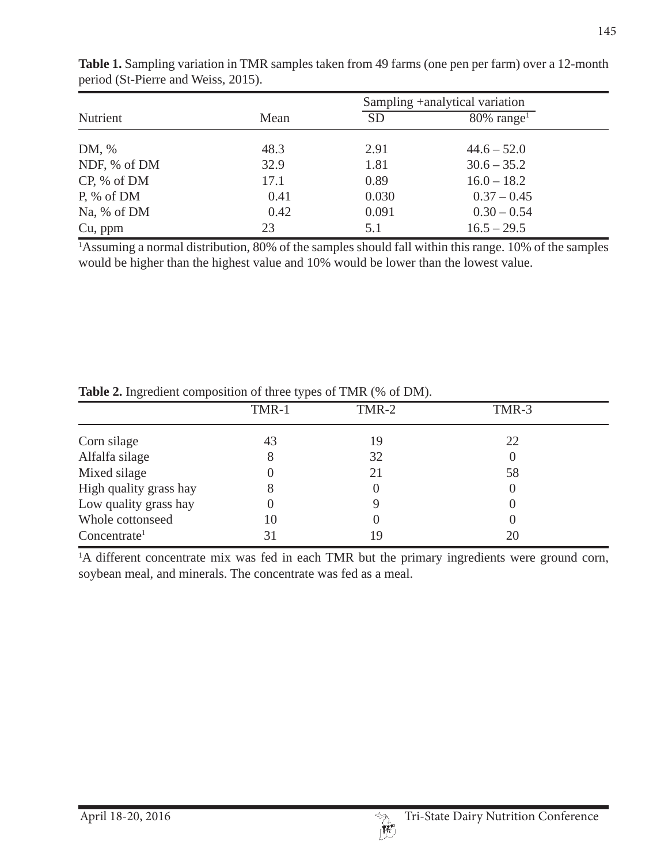|               |      |           | Sampling +analytical variation |  |
|---------------|------|-----------|--------------------------------|--|
| Nutrient      | Mean | <b>SD</b> | $80\%$ range <sup>1</sup>      |  |
| DM, %         | 48.3 | 2.91      | $44.6 - 52.0$                  |  |
| NDF, % of DM  | 32.9 | 1.81      | $30.6 - 35.2$                  |  |
| CP, % of DM   | 17.1 | 0.89      | $16.0 - 18.2$                  |  |
| $P, \%$ of DM | 0.41 | 0.030     | $0.37 - 0.45$                  |  |
| Na, % of DM   | 0.42 | 0.091     | $0.30 - 0.54$                  |  |
| Cu, ppm       | 23   | 5.1       | $16.5 - 29.5$                  |  |

**Table 1.** Sampling variation in TMR samples taken from 49 farms (one pen per farm) over a 12-month period (St-Pierre and Weiss, 2015).

<sup>1</sup>Assuming a normal distribution, 80% of the samples should fall within this range. 10% of the samples would be higher than the highest value and 10% would be lower than the lowest value.

|                          | TMR-1 | TMR-2 | TMR-3 |  |
|--------------------------|-------|-------|-------|--|
| Corn silage              | 43    | 19    | 22    |  |
| Alfalfa silage           |       | 32    |       |  |
| Mixed silage             |       | 21    | 58    |  |
| High quality grass hay   |       |       |       |  |
| Low quality grass hay    |       |       |       |  |
| Whole cottonseed         | 10    |       |       |  |
| Concentrate <sup>1</sup> |       | 19    |       |  |

**Table 2.** Ingredient composition of three types of TMR (% of DM).

<sup>1</sup>A different concentrate mix was fed in each TMR but the primary ingredients were ground corn, soybean meal, and minerals. The concentrate was fed as a meal.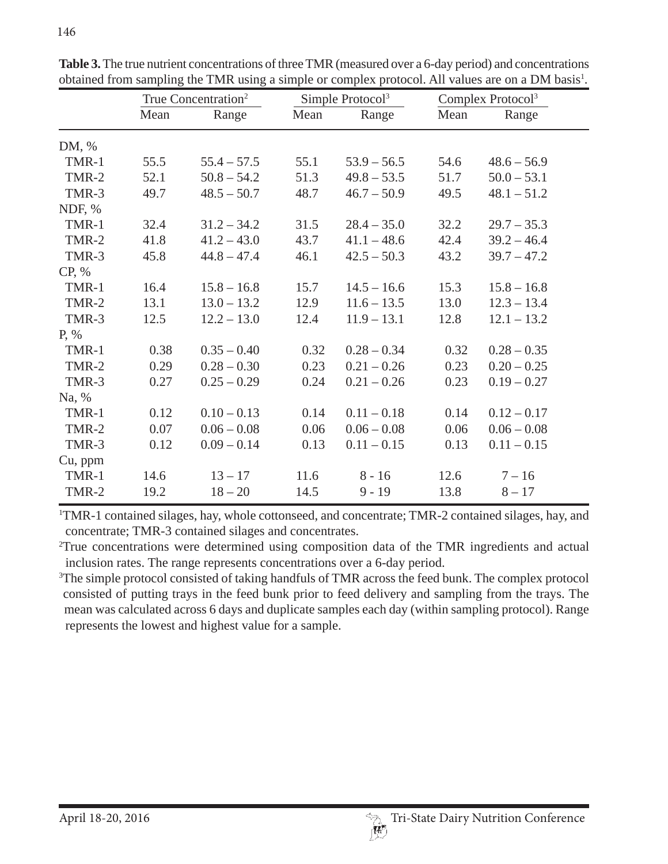|         | True Concentration <sup>2</sup> |               | Simple Protocol <sup>3</sup> |               | Complex Protocol <sup>3</sup> |               |  |
|---------|---------------------------------|---------------|------------------------------|---------------|-------------------------------|---------------|--|
|         | Mean                            | Range         | Mean                         | Range         | Mean                          | Range         |  |
| DM, %   |                                 |               |                              |               |                               |               |  |
| TMR-1   | 55.5                            | $55.4 - 57.5$ | 55.1                         | $53.9 - 56.5$ | 54.6                          | $48.6 - 56.9$ |  |
| TMR-2   | 52.1                            | $50.8 - 54.2$ | 51.3                         | $49.8 - 53.5$ | 51.7                          | $50.0 - 53.1$ |  |
| TMR-3   | 49.7                            | $48.5 - 50.7$ | 48.7                         | $46.7 - 50.9$ | 49.5                          | $48.1 - 51.2$ |  |
| NDF, %  |                                 |               |                              |               |                               |               |  |
| TMR-1   | 32.4                            | $31.2 - 34.2$ | 31.5                         | $28.4 - 35.0$ | 32.2                          | $29.7 - 35.3$ |  |
| TMR-2   | 41.8                            | $41.2 - 43.0$ | 43.7                         | $41.1 - 48.6$ | 42.4                          | $39.2 - 46.4$ |  |
| TMR-3   | 45.8                            | $44.8 - 47.4$ | 46.1                         | $42.5 - 50.3$ | 43.2                          | $39.7 - 47.2$ |  |
| CP, %   |                                 |               |                              |               |                               |               |  |
| TMR-1   | 16.4                            | $15.8 - 16.8$ | 15.7                         | $14.5 - 16.6$ | 15.3                          | $15.8 - 16.8$ |  |
| TMR-2   | 13.1                            | $13.0 - 13.2$ | 12.9                         | $11.6 - 13.5$ | 13.0                          | $12.3 - 13.4$ |  |
| TMR-3   | 12.5                            | $12.2 - 13.0$ | 12.4                         | $11.9 - 13.1$ | 12.8                          | $12.1 - 13.2$ |  |
| P, %    |                                 |               |                              |               |                               |               |  |
| TMR-1   | 0.38                            | $0.35 - 0.40$ | 0.32                         | $0.28 - 0.34$ | 0.32                          | $0.28 - 0.35$ |  |
| TMR-2   | 0.29                            | $0.28 - 0.30$ | 0.23                         | $0.21 - 0.26$ | 0.23                          | $0.20 - 0.25$ |  |
| TMR-3   | 0.27                            | $0.25 - 0.29$ | 0.24                         | $0.21 - 0.26$ | 0.23                          | $0.19 - 0.27$ |  |
| Na, %   |                                 |               |                              |               |                               |               |  |
| TMR-1   | 0.12                            | $0.10 - 0.13$ | 0.14                         | $0.11 - 0.18$ | 0.14                          | $0.12 - 0.17$ |  |
| TMR-2   | 0.07                            | $0.06 - 0.08$ | 0.06                         | $0.06 - 0.08$ | 0.06                          | $0.06 - 0.08$ |  |
| TMR-3   | 0.12                            | $0.09 - 0.14$ | 0.13                         | $0.11 - 0.15$ | 0.13                          | $0.11 - 0.15$ |  |
| Cu, ppm |                                 |               |                              |               |                               |               |  |
| TMR-1   | 14.6                            | $13 - 17$     | 11.6                         | $8 - 16$      | 12.6                          | $7 - 16$      |  |
| TMR-2   | 19.2                            | $18 - 20$     | 14.5                         | $9 - 19$      | 13.8                          | $8 - 17$      |  |

**Table 3.** The true nutrient concentrations of three TMR (measured over a 6-day period) and concentrations obtained from sampling the TMR using a simple or complex protocol. All values are on a DM basis<sup>1</sup>.

<sup>1</sup>TMR-1 contained silages, hay, whole cottonseed, and concentrate; TMR-2 contained silages, hay, and concentrate; TMR-3 contained silages and concentrates.

2 True concentrations were determined using composition data of the TMR ingredients and actual inclusion rates. The range represents concentrations over a 6-day period.

<sup>3</sup>The simple protocol consisted of taking handfuls of TMR across the feed bunk. The complex protocol consisted of putting trays in the feed bunk prior to feed delivery and sampling from the trays. The mean was calculated across 6 days and duplicate samples each day (within sampling protocol). Range represents the lowest and highest value for a sample.